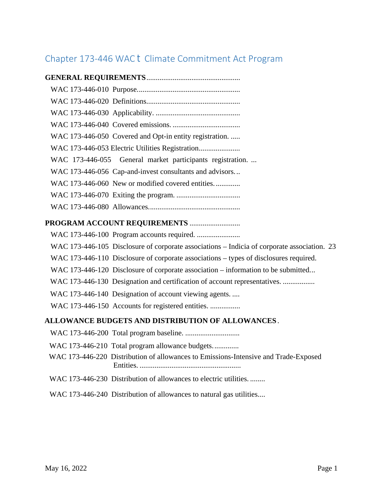## Chapter 173-446 WAC Climate Commitment Act Program

| WAC 173-446-050 Covered and Opt-in entity registration.                                    |
|--------------------------------------------------------------------------------------------|
|                                                                                            |
| WAC 173-446-055 General market participants registration                                   |
| WAC 173-446-056 Cap-and-invest consultants and advisors                                    |
| WAC 173-446-060 New or modified covered entities                                           |
|                                                                                            |
|                                                                                            |
| PROGRAM ACCOUNT REQUIREMENTS                                                               |
|                                                                                            |
| WAC 173-446-105 Disclosure of corporate associations ±Indicia of corporate association. 23 |
| WAC 173-446-110 Disclosure of corporate associations ±types of disclosures required.       |
| WAC 173-446-120 Disclosure of corporate association ±information to be submitted           |
| WAC 173-446-130 Designation and certification of account representatives.                  |
| WAC 173-446-140 Designation of account viewing agents.                                     |
| WAC 173-446-150 Accounts for registered entities.                                          |
| ALLOWANCE BUDGETS AND DISTRIBUTION OF ALLOWANCES.                                          |
|                                                                                            |
| WAC 173-446-210 Total program allowance budgets                                            |
| WAC 173-446-220 Distribution of allowances to Emissions-Intensive and Trade-Exposed        |
| WAC 173-446-230 Distribution of allowances to electric utilities                           |
| WAC 173-446-240 Distribution of allowances to natural gas utilities                        |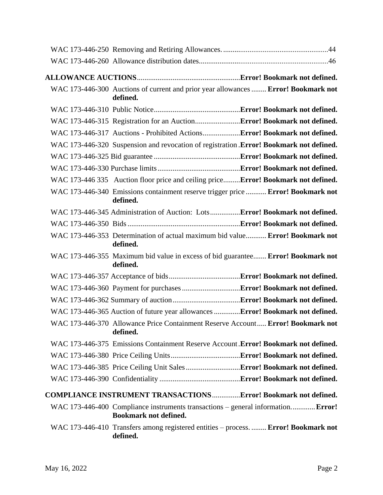| WAC 173-446-300 Auctions of current and prior year allowances  Error! Bookmark not<br>defined.                   |
|------------------------------------------------------------------------------------------------------------------|
|                                                                                                                  |
|                                                                                                                  |
|                                                                                                                  |
| WAC 173-446-320 Suspension and revocation of registration .Error! Bookmark not defined.                          |
|                                                                                                                  |
|                                                                                                                  |
| WAC 173-446 335 Auction floor price and ceiling priceError! Bookmark not defined.                                |
| WAC 173-446-340 Emissions containment reserve trigger price  Error! Bookmark not<br>defined.                     |
| WAC 173-446-345 Administration of Auction: LotsError! Bookmark not defined.                                      |
|                                                                                                                  |
| WAC 173-446-353 Determination of actual maximum bid value Error! Bookmark not<br>defined.                        |
| WAC 173-446-355 Maximum bid value in excess of bid guarantee Error! Bookmark not<br>defined.                     |
|                                                                                                                  |
|                                                                                                                  |
|                                                                                                                  |
| WAC 173-446-365 Auction of future year allowances Error! Bookmark not defined.                                   |
| WAC 173-446-370 Allowance Price Containment Reserve Account Error! Bookmark not<br>defined.                      |
| WAC 173-446-375 Emissions Containment Reserve Account .Error! Bookmark not defined.                              |
|                                                                                                                  |
|                                                                                                                  |
|                                                                                                                  |
| <b>COMPLIANCE INSTRUMENT TRANSACTIONSError! Bookmark not defined.</b>                                            |
| WAC 173-446-400 Compliance instruments transactions – general information Error!<br><b>Bookmark not defined.</b> |
| WAC 173-446-410 Transfers among registered entities – process.  Error! Bookmark not<br>defined.                  |